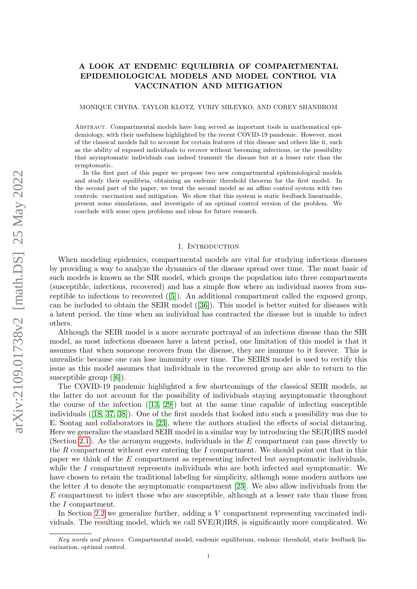# A LOOK AT ENDEMIC EQUILIBRIA OF COMPARTMENTAL EPIDEMIOLOGICAL MODELS AND MODEL CONTROL VIA VACCINATION AND MITIGATION

#### MONIQUE CHYBA, TAYLOR KLOTZ, YURIY MILEYKO, AND COREY SHANBROM

Abstract. Compartmental models have long served as important tools in mathematical epidemiology, with their usefulness highlighted by the recent COVID-19 pandemic. However, most of the classical models fail to account for certain features of this disease and others like it, such as the ability of exposed individuals to recover without becoming infectious, or the possibility that asymptomatic individuals can indeed transmit the disease but at a lesser rate than the symptomatic.

In the first part of this paper we propose two new compartmental epidemiological models and study their equilibria, obtaining an endemic threshold theorem for the first model. In the second part of the paper, we treat the second model as an affine control system with two controls: vaccination and mitigation. We show that this system is static feedback linearizable, present some simulations, and investigate of an optimal control version of the problem. We conclude with some open problems and ideas for future research.

### 1. INTRODUCTION

<span id="page-0-0"></span>When modeling epidemics, compartmental models are vital for studying infectious diseases by providing a way to analyze the dynamics of the disease spread over time. The most basic of such models is known as the SIR model, which groups the population into three compartments (susceptible, infectious, recovered) and has a simple flow where an individual moves from susceptible to infectious to recovered ([\[5\]](#page-19-0)). An additional compartment called the exposed group, can be included to obtain the SEIR model ([\[36\]](#page-20-0)). This model is better suited for diseases with a latent period, the time when an individual has contracted the disease but is unable to infect others.

Although the SEIR model is a more accurate portrayal of an infectious disease than the SIR model, as most infectious diseases have a latent period, one limitation of this model is that it assumes that when someone recovers from the disease, they are immune to it forever. This is unrealistic because one can lose immunity over time. The SEIRS model is used to rectify this issue as this model assumes that individuals in the recovered group are able to return to the susceptible group  $([6])$  $([6])$  $([6])$ .

The COVID-19 pandemic highlighted a few shortcomings of the classical SEIR models, as the latter do not account for the possibility of individuals staying asymptomatic throughout the course of the infection  $([13, 29])$  $([13, 29])$  $([13, 29])$  $([13, 29])$  but at the same time capable of infecting susceptible individuals ([\[18,](#page-19-3) [37,](#page-20-2) [38\]](#page-20-3)). One of the first models that looked into such a possibility was due to E. Sontag and collaborators in [\[23\]](#page-19-4), where the authors studied the effects of social distancing. Here we generalize the standard SEIR model in a similar way by introducing the SE(R)IRS model (Section [2.1\)](#page-2-0). As the acronym suggests, individuals in the  $E$  compartment can pass directly to the  $R$  compartment without ever entering the  $I$  compartment. We should point out that in this paper we think of the E compartment as representing infected but asymptomatic individuals, while the  $I$  compartment represents individuals who are both infected and symptomatic. We have chosen to retain the traditional labeling for simplicity, although some modern authors use the letter A to denote the asymptomatic compartment [\[23\]](#page-19-4). We also allow individuals from the E compartment to infect those who are susceptible, although at a lesser rate than those from the I compartment.

In Section [2.2](#page-5-0) we generalize further, adding a V compartment representing vaccinated individuals. The resulting model, which we call  $SVE(R)IRS$ , is significantly more complicated. We

Key words and phrases. Compartmental model, endemic equilibrium, endemic threshold, static feedback linearization, optimal control.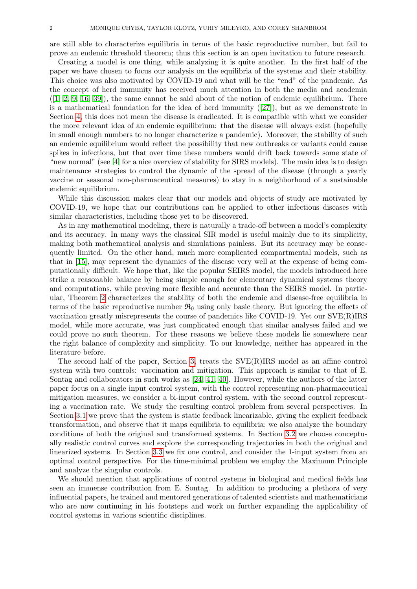are still able to characterize equilibria in terms of the basic reproductive number, but fail to prove an endemic threshold theorem; thus this section is an open invitation to future research.

Creating a model is one thing, while analyzing it is quite another. In the first half of the paper we have chosen to focus our analysis on the equilibria of the systems and their stability. This choice was also motivated by COVID-19 and what will be the "end" of the pandemic. As the concept of herd immunity has received much attention in both the media and academia  $([1, 2, 9, 16, 39])$  $([1, 2, 9, 16, 39])$  $([1, 2, 9, 16, 39])$  $([1, 2, 9, 16, 39])$  $([1, 2, 9, 16, 39])$  $([1, 2, 9, 16, 39])$  $([1, 2, 9, 16, 39])$ , the same cannot be said about of the notion of endemic equilibrium. There is a mathematical foundation for the idea of herd immunity  $([27])$  $([27])$  $([27])$ , but as we demonstrate in Section [4,](#page-16-0) this does not mean the disease is eradicated. It is compatible with what we consider the more relevant idea of an endemic equilibrium: that the disease will always exist (hopefully in small enough numbers to no longer characterize a pandemic). Moreover, the stability of such an endemic equilibrium would reflect the possibility that new outbreaks or variants could cause spikes in infections, but that over time these numbers would drift back towards some state of "new normal" (see [\[4\]](#page-19-9) for a nice overview of stability for SIRS models). The main idea is to design maintenance strategies to control the dynamic of the spread of the disease (through a yearly vaccine or seasonal non-pharmaceutical measures) to stay in a neighborhood of a sustainable endemic equilibrium.

While this discussion makes clear that our models and objects of study are motivated by COVID-19, we hope that our contributions can be applied to other infectious diseases with similar characteristics, including those yet to be discovered.

As in any mathematical modeling, there is naturally a trade-off between a model's complexity and its accuracy. In many ways the classical SIR model is useful mainly due to its simplicity, making both mathematical analysis and simulations painless. But its accuracy may be consequently limited. On the other hand, much more complicated compartmental models, such as that in [\[15\]](#page-19-10), may represent the dynamics of the disease very well at the expense of being computationally difficult. We hope that, like the popular SEIRS model, the models introduced here strike a reasonable balance by being simple enough for elementary dynamical systems theory and computations, while proving more flexible and accurate than the SEIRS model. In particular, Theorem [2](#page-3-0) characterizes the stability of both the endemic and disease-free equilibria in terms of the basic reproductive number  $\mathfrak{R}_0$  using only basic theory. But ignoring the effects of vaccination greatly misrepresents the course of pandemics like COVID-19. Yet our SVE(R)IRS model, while more accurate, was just complicated enough that similar analyses failed and we could prove no such theorem. For these reasons we believe these models lie somewhere near the right balance of complexity and simplicity. To our knowledge, neither has appeared in the literature before.

The second half of the paper, Section [3,](#page-10-0) treats the SVE(R)IRS model as an affine control system with two controls: vaccination and mitigation. This approach is similar to that of E. Sontag and collaborators in such works as [\[24,](#page-19-11) [41,](#page-20-6) [40\]](#page-20-7). However, while the authors of the latter paper focus on a single input control system, with the control representing non-pharmaceutical mitigation measures, we consider a bi-input control system, with the second control representing a vaccination rate. We study the resulting control problem from several perspectives. In Section [3.1](#page-10-1) we prove that the system is static feedback linearizable, giving the explicit feedback transformation, and observe that it maps equilibria to equilibria; we also analyze the boundary conditions of both the original and transformed systems. In Section [3.2](#page-13-0) we choose conceptually realistic control curves and explore the corresponding trajectories in both the original and linearized systems. In Section [3.3](#page-15-0) we fix one control, and consider the 1-input system from an optimal control perspective. For the time-minimal problem we employ the Maximum Principle and analyze the singular controls.

We should mention that applications of control systems in biological and medical fields has seen an immense contribution from E. Sontag. In addition to producing a plethora of very influential papers, he trained and mentored generations of talented scientists and mathematicians who are now continuing in his footsteps and work on further expanding the applicability of control systems in various scientific disciplines.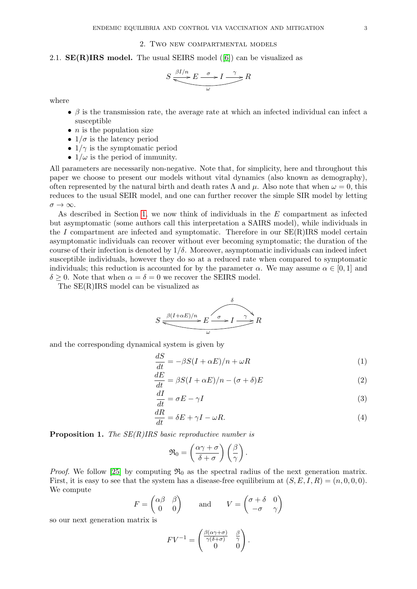## 2. Two new compartmental models

<span id="page-2-0"></span>2.1.  $\mathbf{SE}(\mathbf{R})$  IRS model. The usual SEIRS model ([\[6\]](#page-19-1)) can be visualized as

$$
S \xrightarrow{\beta I/n} E \xrightarrow{\sigma} I \xrightarrow{\gamma} R
$$

where

- $\beta$  is the transmission rate, the average rate at which an infected individual can infect a susceptible
- $\bullet$  *n* is the population size
- $1/\sigma$  is the latency period
- $1/\gamma$  is the symptomatic period
- $1/\omega$  is the period of immunity.

All parameters are necessarily non-negative. Note that, for simplicity, here and throughout this paper we choose to present our models without vital dynamics (also known as demography), often represented by the natural birth and death rates  $\Lambda$  and  $\mu$ . Also note that when  $\omega = 0$ , this reduces to the usual SEIR model, and one can further recover the simple SIR model by letting  $\sigma \rightarrow \infty$ .

As described in Section [1,](#page-0-0) we now think of individuals in the E compartment as infected but asymptomatic (some authors call this interpretation a SAIRS model), while individuals in the I compartment are infected and symptomatic. Therefore in our  $SE(R)$ IRS model certain asymptomatic individuals can recover without ever becoming symptomatic; the duration of the course of their infection is denoted by  $1/\delta$ . Moreover, asymptomatic individuals can indeed infect susceptible individuals, however they do so at a reduced rate when compared to symptomatic individuals; this reduction is accounted for by the parameter  $\alpha$ . We may assume  $\alpha \in [0,1]$  and  $\delta \geq 0$ . Note that when  $\alpha = \delta = 0$  we recover the SEIRS model.

The SE(R)IRS model can be visualized as

$$
S \xrightarrow{\beta(I+\alpha E)/n} E \xrightarrow{\delta} I \xrightarrow{\gamma} R
$$

and the corresponding dynamical system is given by

<span id="page-2-1"></span>
$$
\frac{dS}{dt} = -\beta S(I + \alpha E)/n + \omega R\tag{1}
$$

$$
\frac{dE}{dt} = \beta S(I + \alpha E)/n - (\sigma + \delta)E
$$
\n(2)

$$
\frac{dI}{dt} = \sigma E - \gamma I \tag{3}
$$

$$
\frac{dR}{dt} = \delta E + \gamma I - \omega R. \tag{4}
$$

**Proposition 1.** The  $SE(R)$ IRS basic reproductive number is

<span id="page-2-2"></span>
$$
\mathfrak{R}_0 = \left(\frac{\alpha \gamma + \sigma}{\delta + \sigma}\right) \left(\frac{\beta}{\gamma}\right).
$$

*Proof.* We follow [\[25\]](#page-19-12) by computing  $\mathfrak{R}_0$  as the spectral radius of the next generation matrix. First, it is easy to see that the system has a disease-free equilibrium at  $(S, E, I, R) = (n, 0, 0, 0)$ . We compute

$$
F = \begin{pmatrix} \alpha \beta & \beta \\ 0 & 0 \end{pmatrix} \quad \text{and} \quad V = \begin{pmatrix} \sigma + \delta & 0 \\ -\sigma & \gamma \end{pmatrix}
$$

so our next generation matrix is

$$
F V^{-1} = \begin{pmatrix} \frac{\beta(\alpha \gamma + \sigma)}{\gamma(\delta + \sigma)} & \frac{\beta}{\gamma} \\ 0 & 0 \end{pmatrix}.
$$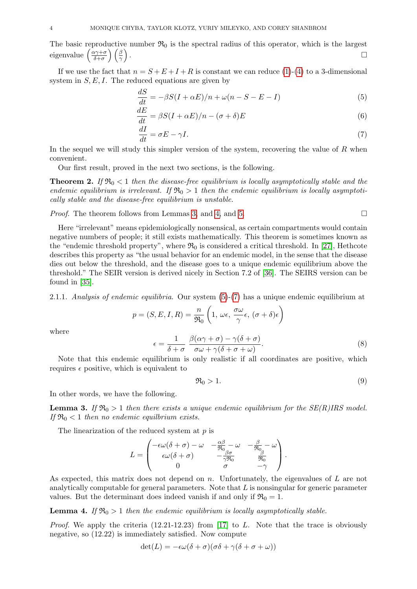The basic reproductive number  $\mathfrak{R}_0$  is the spectral radius of this operator, which is the largest eigenvalue  $\left(\frac{\alpha \gamma + \sigma}{\delta + \sigma}\right)$  $\left(\frac{\alpha\gamma+\sigma}{\delta+\sigma}\right)\left(\frac{\beta}{\gamma}\right)$ .

If we use the fact that  $n = S + E + I + R$  is constant we can reduce [\(1\)](#page-2-1)-[\(4\)](#page-2-2) to a 3-dimensional system in  $S, E, I$ . The reduced equations are given by

<span id="page-3-3"></span>
$$
\frac{dS}{dt} = -\beta S(I + \alpha E)/n + \omega(n - S - E - I)
$$
\n(5)

$$
\frac{dE}{dt} = \beta S(I + \alpha E)/n - (\sigma + \delta)E
$$
\n(6)

<span id="page-3-4"></span>
$$
\frac{dI}{dt} = \sigma E - \gamma I. \tag{7}
$$

In the sequel we will study this simpler version of the system, recovering the value of  $R$  when convenient.

Our first result, proved in the next two sections, is the following.

<span id="page-3-0"></span>**Theorem 2.** If  $\mathfrak{R}_0 < 1$  then the disease-free equilibrium is locally asymptotically stable and the endemic equilibrium is irrelevant. If  $\mathfrak{R}_0 > 1$  then the endemic equilibrium is locally asymptotically stable and the disease-free equilibrium is unstable.

*Proof.* The theorem follows from Lemmas [3,](#page-3-1) and [4,](#page-3-2) and [5.](#page-5-1)

Here "irrelevant" means epidemiologically nonsensical, as certain compartments would contain negative numbers of people; it still exists mathematically. This theorem is sometimes known as the "endemic threshold property", where  $\mathfrak{R}_0$  is considered a critical threshold. In [\[27\]](#page-20-5), Hethcote describes this property as "the usual behavior for an endemic model, in the sense that the disease dies out below the threshold, and the disease goes to a unique endemic equilibrium above the threshold." The SEIR version is derived nicely in Section 7.2 of [\[36\]](#page-20-0). The SEIRS version can be found in [\[35\]](#page-20-8).

2.1.1. Analysis of endemic equilibria. Our system  $(5)-(7)$  $(5)-(7)$  $(5)-(7)$  has a unique endemic equilibrium at

$$
p = (S, E, I, R) = \frac{n}{\Re_0} \left( 1, \, \omega \epsilon, \, \frac{\sigma \omega}{\gamma} \epsilon, \, (\sigma + \delta) \epsilon \right)
$$

$$
\epsilon = \frac{1}{\delta + \sigma} \frac{\beta(\alpha \gamma + \sigma) - \gamma(\delta + \sigma)}{\sigma \omega + \gamma(\delta + \sigma + \omega)}.
$$
(8)

where

Note that this endemic equilibrium is only realistic if all coordinates are positive, which requires  $\epsilon$  positive, which is equivalent to

$$
\Re_0 > 1. \tag{9}
$$

In other words, we have the following.

<span id="page-3-1"></span>**Lemma 3.** If  $\mathfrak{R}_0 > 1$  then there exists a unique endemic equilibrium for the SE(R)IRS model. If  $\mathfrak{R}_0 < 1$  then no endemic equilibrium exists.

The linearization of the reduced system at  $p$  is

$$
L = \begin{pmatrix} -\epsilon \omega (\delta + \sigma) - \omega & -\frac{\alpha \beta}{\Re_0} - \omega & -\frac{\beta}{\Re_0} - \omega \\ \epsilon \omega (\delta + \sigma) & -\frac{\beta \sigma}{\gamma \Re_0} & \frac{\beta}{\Re_0} \\ 0 & \sigma & -\gamma \end{pmatrix}.
$$

As expected, this matrix does not depend on n. Unfortunately, the eigenvalues of  $L$  are not analytically computable for general parameters. Note that  $L$  is nonsingular for generic parameter values. But the determinant does indeed vanish if and only if  $\mathfrak{R}_0 = 1$ .

<span id="page-3-2"></span>**Lemma 4.** If  $\mathfrak{R}_0 > 1$  then the endemic equilibrium is locally asymptotically stable.

*Proof.* We apply the criteria  $(12.21-12.23)$  from [\[17\]](#page-19-13) to L. Note that the trace is obviously negative, so (12.22) is immediately satisfied. Now compute

$$
\det(L) = -\epsilon \omega(\delta + \sigma)(\sigma \delta + \gamma(\delta + \sigma + \omega))
$$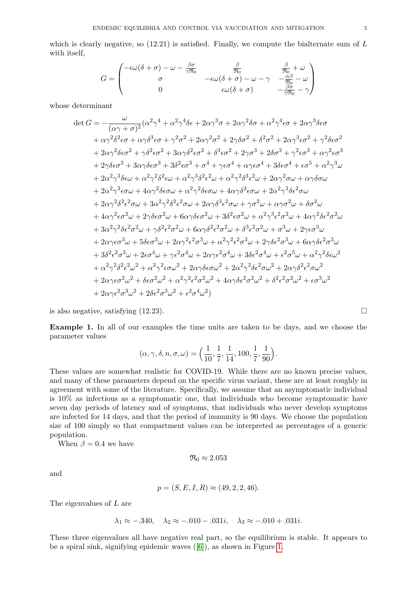which is clearly negative, so  $(12.21)$  is satisfied. Finally, we compute the bialternate sum of L with itself,

$$
G = \begin{pmatrix} -\epsilon \omega (\delta + \sigma) - \omega - \frac{\beta \sigma}{\gamma \Re_0} & \frac{\beta}{\Re_0} & \frac{\beta}{\Re_0} + \omega \\ \sigma & -\epsilon \omega (\delta + \sigma) - \omega - \gamma & -\frac{\alpha \beta}{\Re_0} - \omega \\ 0 & \epsilon \omega (\delta + \sigma) & -\frac{\beta \sigma}{\gamma \Re_0} - \gamma \end{pmatrix}
$$

whose determinant

$$
\det G = -\frac{\omega}{(\alpha\gamma + \sigma)^2} (\alpha^2 \gamma^4 + \alpha^2 \gamma^4 \delta \epsilon + 2\alpha \gamma^3 \sigma + 2\alpha \gamma^2 \delta \sigma + \alpha^2 \gamma^4 \epsilon \sigma + 2\alpha \gamma^3 \delta \epsilon \sigma \n+ \alpha \gamma^2 \delta^2 \epsilon \sigma + \alpha \gamma \delta^3 \epsilon \sigma + \gamma^2 \sigma^2 + 2\alpha \gamma^2 \sigma^2 + 2\gamma \delta \sigma^2 + \delta^2 \sigma^2 + 2\alpha \gamma^3 \epsilon \sigma^2 + \gamma^2 \delta \epsilon \sigma^2 \n+ 2\alpha \gamma^2 \delta \epsilon \sigma^2 + \gamma \delta^2 \epsilon \sigma^2 + 3\alpha \gamma \delta^2 \epsilon \sigma^2 + \delta^3 \epsilon \sigma^2 + 2\gamma \sigma^3 + 2\delta \sigma^3 + \gamma^2 \epsilon \sigma^3 + \alpha \gamma^2 \epsilon \sigma^3 \n+ 2\gamma \delta \epsilon \sigma^3 + 3\alpha \gamma \delta \epsilon \sigma^3 + 3\delta^2 \epsilon \sigma^3 + \sigma^4 + \gamma \epsilon \sigma^4 + \alpha \gamma \epsilon \sigma^4 + 3\delta \epsilon \sigma^4 + \epsilon \sigma^5 + \alpha^2 \gamma^3 \omega \n+ 2\alpha^2 \gamma^3 \delta \epsilon \omega + \alpha^2 \gamma^2 \delta^2 \epsilon \omega + \alpha^2 \gamma^3 \delta^2 \epsilon^2 \omega + \alpha^2 \gamma^2 \delta^3 \epsilon^2 \omega + 2\alpha \gamma^2 \sigma \omega + \alpha \gamma \delta \sigma \omega \n+ 2\alpha^2 \gamma^3 \epsilon \sigma \omega + 4\alpha \gamma^2 \delta \epsilon \sigma \omega + \alpha^2 \gamma^3 \delta \epsilon^2 \sigma \omega + 4\alpha \gamma \delta^2 \epsilon \sigma \omega + 2\alpha^2 \gamma^3 \delta \epsilon^2 \sigma \omega \n+ 2\alpha \gamma^2 \delta^2 \epsilon^2 \sigma \omega + 3\alpha^2 \gamma^2 \delta^2 \epsilon^2 \sigma \omega + 2\alpha \gamma \delta^3 \epsilon^2 \sigma \omega + \gamma \sigma^2 \omega + \alpha \gamma \delta \sigma \omega \n+ 2\alpha \gamma^2 \delta^2 \epsilon^2 \sigma \omega + 3\alpha^2 \gamma^2 \delta^2 \epsilon^2 \sigma \omega + 2\alpha \gamma \delta^3 \epsilon^2 \sigma \omega + \gamma \sigma^2 \omega + \alpha \
$$

is also negative, satisfying  $(12.23)$ .

<span id="page-4-0"></span>Example 1. In all of our examples the time units are taken to be days, and we choose the parameter values

$$
(\alpha, \gamma, \delta, n, \sigma, \omega) = \left(\frac{1}{10}, \frac{1}{7}, \frac{1}{14}, 100, \frac{1}{7}, \frac{1}{90}\right).
$$

These values are somewhat realistic for COVID-19. While there are no known precise values, and many of these parameters depend on the specific virus variant, these are at least roughly in agreement with some of the literature. Specifically, we assume that an asymptomatic individual is 10% as infectious as a symptomatic one, that individuals who become symptomatic have seven day periods of latency and of symptoms, that individuals who never develop symptoms are infected for 14 days, and that the period of immunity is 90 days. We choose the population size of 100 simply so that compartment values can be interpreted as percentages of a generic population.

When  $\beta = 0.4$  we have

$$
\mathfrak{R}_0 \approx 2.053
$$

and

$$
p = (S, E, I, R) \approx (49, 2, 2, 46).
$$

The eigenvalues of L are

$$
\lambda_1 \approx -.340, \quad \lambda_2 \approx -.010 - .031i, \quad \lambda_3 \approx -.010 + .031i.
$$

These three eigenvalues all have negative real part, so the equilibrium is stable. It appears to be a spiral sink, signifying epidemic waves ([\[6\]](#page-19-1)), as shown in Figure [1.](#page-5-2)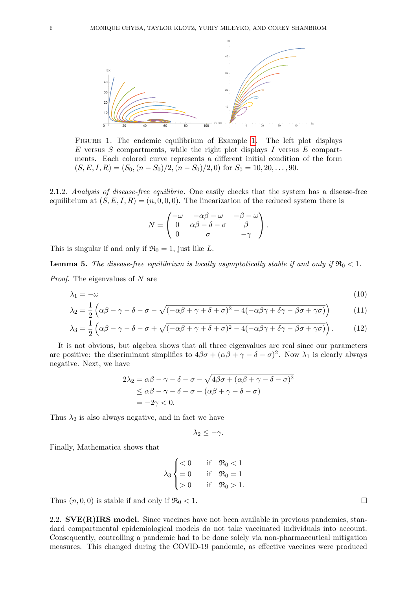<span id="page-5-2"></span>

Figure 1. The endemic equilibrium of Example [1.](#page-4-0) The left plot displays  $E$  versus  $S$  compartments, while the right plot displays  $I$  versus  $E$  compartments. Each colored curve represents a different initial condition of the form  $(S, E, I, R) = (S_0, (n - S_0)/2, (n - S_0)/2, 0)$  for  $S_0 = 10, 20, ..., 90$ .

2.1.2. Analysis of disease-free equilibria. One easily checks that the system has a disease-free equilibrium at  $(S, E, I, R) = (n, 0, 0, 0)$ . The linearization of the reduced system there is

$$
N = \begin{pmatrix} -\omega & -\alpha\beta - \omega & -\beta - \omega \\ 0 & \alpha\beta - \delta - \sigma & \beta \\ 0 & \sigma & -\gamma \end{pmatrix}.
$$

This is singular if and only if  $\mathfrak{R}_0 = 1$ , just like L.

<span id="page-5-1"></span>**Lemma 5.** The disease-free equilibrium is locally asymptotically stable if and only if  $\Re_0 < 1$ .

Proof. The eigenvalues of N are

$$
\lambda_1 = -\omega \tag{10}
$$

$$
\lambda_2 = \frac{1}{2} \left( \alpha \beta - \gamma - \delta - \sigma - \sqrt{(-\alpha \beta + \gamma + \delta + \sigma)^2 - 4(-\alpha \beta \gamma + \delta \gamma - \beta \sigma + \gamma \sigma)} \right) \tag{11}
$$

$$
\lambda_3 = \frac{1}{2} \left( \alpha \beta - \gamma - \delta - \sigma + \sqrt{(-\alpha \beta + \gamma + \delta + \sigma)^2 - 4(-\alpha \beta \gamma + \delta \gamma - \beta \sigma + \gamma \sigma)} \right). \tag{12}
$$

It is not obvious, but algebra shows that all three eigenvalues are real since our parameters are positive: the discriminant simplifies to  $4\beta\sigma + (\alpha\beta + \gamma - \delta - \sigma)^2$ . Now  $\lambda_1$  is clearly always negative. Next, we have

$$
2\lambda_2 = \alpha\beta - \gamma - \delta - \sigma - \sqrt{4\beta\sigma + (\alpha\beta + \gamma - \delta - \sigma)^2}
$$
  
\n
$$
\leq \alpha\beta - \gamma - \delta - \sigma - (\alpha\beta + \gamma - \delta - \sigma)
$$
  
\n
$$
= -2\gamma < 0.
$$

Thus  $\lambda_2$  is also always negative, and in fact we have

$$
\lambda_2 \leq -\gamma.
$$

Finally, Mathematica shows that

$$
\lambda_3 \begin{cases} < 0 & \text{if } \Re_0 < 1 \\ = 0 & \text{if } \Re_0 = 1 \\ > 0 & \text{if } \Re_0 > 1. \end{cases}
$$

Thus  $(n, 0, 0)$  is stable if and only if  $\Re_0 < 1$ .

<span id="page-5-0"></span>2.2.  $SVE(R)IRS model. Since vaccines have not been available in previous pandemics, stan$ dard compartmental epidemiological models do not take vaccinated individuals into account. Consequently, controlling a pandemic had to be done solely via non-pharmaceutical mitigation measures. This changed during the COVID-19 pandemic, as effective vaccines were produced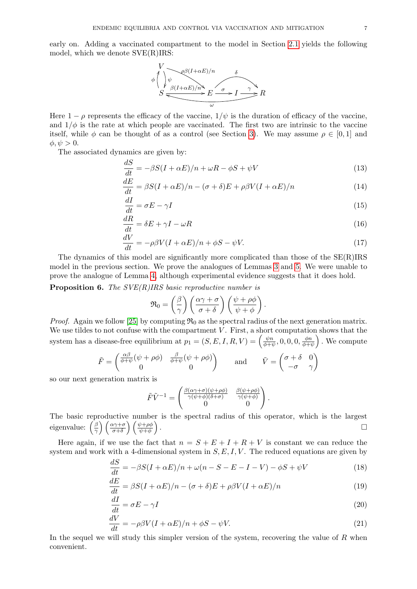early on. Adding a vaccinated compartment to the model in Section [2.1](#page-2-0) yields the following model, which we denote SVE(R)IRS:



Here  $1 - \rho$  represents the efficacy of the vaccine,  $1/\psi$  is the duration of efficacy of the vaccine, and  $1/\phi$  is the rate at which people are vaccinated. The first two are intrinsic to the vaccine itself, while  $\phi$  can be thought of as a control (see Section [3\)](#page-10-0). We may assume  $\rho \in [0,1]$  and  $\phi, \psi > 0.$ 

The associated dynamics are given by:

$$
\frac{dS}{dt} = -\beta S(I + \alpha E)/n + \omega R - \phi S + \psi V \tag{13}
$$

$$
\frac{dE}{dt} = \beta S(I + \alpha E)/n - (\sigma + \delta)E + \rho \beta V(I + \alpha E)/n \tag{14}
$$

$$
\frac{dI}{dt} = \sigma E - \gamma I \tag{15}
$$

$$
\frac{dR}{dt} = \delta E + \gamma I - \omega R \tag{16}
$$

$$
\frac{dV}{dt} = -\rho\beta V(I + \alpha E)/n + \phi S - \psi V. \tag{17}
$$

The dynamics of this model are significantly more complicated than those of the SE(R)IRS model in the previous section. We prove the analogues of Lemmas [3](#page-3-1) and [5.](#page-5-1) We were unable to prove the analogue of Lemma [4,](#page-3-2) although experimental evidence suggests that it does hold.

**Proposition 6.** The  $SVE(R)IRS$  basic reproductive number is

$$
\mathfrak{R}_0 = \left(\frac{\beta}{\gamma}\right) \left(\frac{\alpha \gamma + \sigma}{\sigma + \delta}\right) \left(\frac{\psi + \rho \phi}{\psi + \phi}\right).
$$

*Proof.* Again we follow [\[25\]](#page-19-12) by computing  $\mathfrak{R}_0$  as the spectral radius of the next generation matrix. We use tildes to not confuse with the compartment  $V$ . First, a short computation shows that the system has a disease-free equilibrium at  $p_1 = (S, E, I, R, V) = \begin{pmatrix} \frac{\psi R}{\phi + i} \end{pmatrix}$  $\frac{\psi n}{\phi + \psi}, 0, 0, 0, \frac{\phi n}{\phi + i}$  $\frac{\phi n}{\phi + \psi}$ . We compute

$$
\tilde{F} = \begin{pmatrix} \frac{\alpha\beta}{\phi + \psi}(\psi + \rho\phi) & \frac{\beta}{\phi + \psi}(\psi + \rho\phi) \\ 0 & 0 \end{pmatrix} \quad \text{and} \quad \tilde{V} = \begin{pmatrix} \sigma + \delta & 0 \\ -\sigma & \gamma \end{pmatrix}
$$

so our next generation matrix is

$$
\tilde{F}\tilde{V}^{-1} = \begin{pmatrix} \frac{\beta(\alpha\gamma+\sigma)(\psi+\rho\phi)}{\gamma(\psi+\phi)(\delta+\sigma)} & \frac{\beta(\psi+\rho\phi)}{\gamma(\psi+\phi)} \\ 0 & 0 \end{pmatrix}.
$$

The basic reproductive number is the spectral radius of this operator, which is the largest eigenvalue:  $\left(\frac{\beta}{\gamma}\right)$  $\left(\frac{\beta}{\gamma}\right)\left(\frac{\alpha\gamma+\sigma}{\sigma+\delta}\right)\left(\frac{\psi+\rho\phi}{\psi+\phi}\right)$ .

Here again, if we use the fact that  $n = S + E + I + R + V$  is constant we can reduce the system and work with a 4-dimensional system in  $S, E, I, V$ . The reduced equations are given by

$$
\frac{dS}{dt} = -\beta S(I + \alpha E)/n + \omega(n - S - E - I - V) - \phi S + \psi V \tag{18}
$$

$$
\frac{dE}{dt} = \beta S(I + \alpha E)/n - (\sigma + \delta)E + \rho \beta V(I + \alpha E)/n \tag{19}
$$

$$
\frac{dI}{dt} = \sigma E - \gamma I \tag{20}
$$

$$
\frac{dV}{dt} = -\rho\beta V(I + \alpha E)/n + \phi S - \psi V.
$$
\n(21)

In the sequel we will study this simpler version of the system, recovering the value of  $R$  when convenient.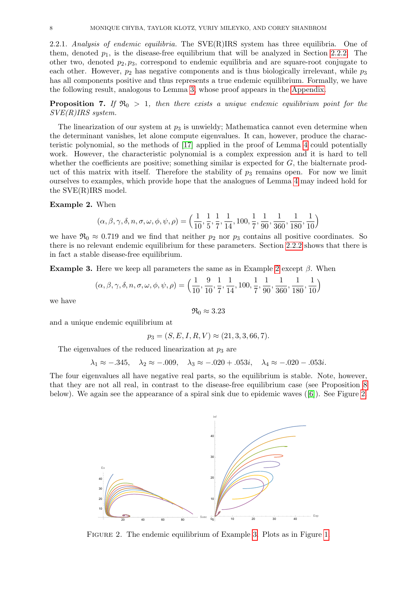2.2.1. Analysis of endemic equilibria. The  $SVE(R)IRS$  system has three equilibria. One of them, denoted  $p_1$ , is the disease-free equilibrium that will be analyzed in Section [2.2.2.](#page-8-0) The other two, denoted  $p_2, p_3$ , correspond to endemic equilibria and are square-root conjugate to each other. However,  $p_2$  has negative components and is thus biologically irrelevant, while  $p_3$ has all components positive and thus represents a true endemic equilibrium. Formally, we have the following result, analogous to Lemma [3,](#page-3-1) whose proof appears in the [Appendix.](#page-17-0)

<span id="page-7-3"></span>**Proposition 7.** If  $\mathfrak{R}_0 > 1$ , then there exists a unique endemic equilibrium point for the SVE(R)IRS system.

The linearization of our system at  $p_3$  is unwieldy; Mathematica cannot even determine when the determinant vanishes, let alone compute eigenvalues. It can, however, produce the characteristic polynomial, so the methods of [\[17\]](#page-19-13) applied in the proof of Lemma [4](#page-3-2) could potentially work. However, the characteristic polynomial is a complex expression and it is hard to tell whether the coefficients are positive; something similar is expected for  $G$ , the bialternate product of this matrix with itself. Therefore the stability of  $p_3$  remains open. For now we limit ourselves to examples, which provide hope that the analogues of Lemma [4](#page-3-2) may indeed hold for the SVE(R)IRS model.

### <span id="page-7-0"></span>Example 2. When

$$
(\alpha, \beta, \gamma, \delta, n, \sigma, \omega, \phi, \psi, \rho) = \left(\frac{1}{10}, \frac{1}{5}, \frac{1}{7}, \frac{1}{14}, 100, \frac{1}{7}, \frac{1}{90}, \frac{1}{360}, \frac{1}{180}, \frac{1}{10}\right)
$$

we have  $\mathfrak{R}_0 \approx 0.719$  and we find that neither  $p_2$  nor  $p_3$  contains all positive coordinates. So there is no relevant endemic equilibrium for these parameters. Section [2.2.2](#page-8-0) shows that there is in fact a stable disease-free equilibrium.

<span id="page-7-2"></span>**Example 3.** Here we keep all parameters the same as in Example [2](#page-7-0) except  $\beta$ . When

$$
(\alpha, \beta, \gamma, \delta, n, \sigma, \omega, \phi, \psi, \rho) = \left(\frac{1}{10}, \frac{9}{10}, \frac{1}{7}, \frac{1}{14}, 100, \frac{1}{7}, \frac{1}{90}, \frac{1}{360}, \frac{1}{180}, \frac{1}{10}\right)
$$

we have

$$
\mathfrak{R}_0 \approx 3.23
$$

and a unique endemic equilibrium at

 $p_3 = (S, E, I, R, V) \approx (21, 3, 3, 66, 7).$ 

The eigenvalues of the reduced linearization at  $p_3$  are

 $\lambda_1 \approx -.345, \quad \lambda_2 \approx -.009, \quad \lambda_3 \approx -.020 + .053i, \quad \lambda_4 \approx -.020 - .053i.$ 

The four eigenvalues all have negative real parts, so the equilibrium is stable. Note, however, that they are not all real, in contrast to the disease-free equilibrium case (see Proposition [8](#page-8-1) below). We again see the appearance of a spiral sink due to epidemic waves ([\[6\]](#page-19-1)). See Figure [2.](#page-7-1)

<span id="page-7-1"></span>

Figure 2. The endemic equilibrium of Example [3.](#page-7-2) Plots as in Figure [1.](#page-5-2)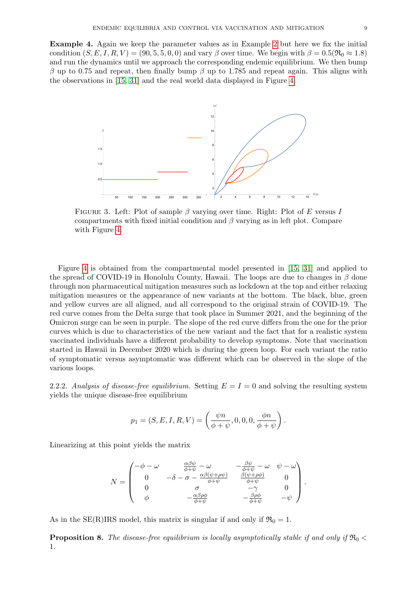Example 4. Again we keep the parameter values as in Example [2](#page-7-0) but here we fix the initial condition  $(S, E, I, R, V) = (90, 5, 5, 0, 0)$  and vary  $\beta$  over time. We begin with  $\beta = 0.5(\Re_0 \approx 1.8)$ and run the dynamics until we approach the corresponding endemic equilibrium. We then bump β up to 0.75 and repeat, then finally bump β up to 1.785 and repeat again. This aligns with the observations in [\[15,](#page-19-10) [31\]](#page-20-9) and the real world data displayed in Figure [4.](#page-9-0)



FIGURE 3. Left: Plot of sample  $\beta$  varying over time. Right: Plot of E versus I compartments with fixed initial condition and  $\beta$  varying as in left plot. Compare with Figure [4.](#page-9-0)

Figure [4](#page-9-0) is obtained from the compartmental model presented in [\[15,](#page-19-10) [31\]](#page-20-9) and applied to the spread of COVID-19 in Honolulu County, Hawaii. The loops are due to changes in  $\beta$  done through non pharmaceutical mitigation measures such as lockdown at the top and either relaxing mitigation measures or the appearance of new variants at the bottom. The black, blue, green and yellow curves are all aligned, and all correspond to the original strain of COVID-19. The red curve comes from the Delta surge that took place in Summer 2021, and the beginning of the Omicron surge can be seen in purple. The slope of the red curve differs from the one for the prior curves which is due to characteristics of the new variant and the fact that for a realistic system vaccinated individuals have a different probability to develop symptoms. Note that vaccination started in Hawaii in December 2020 which is during the green loop. For each variant the ratio of symptomatic versus asymptomatic was different which can be observed in the slope of the various loops.

<span id="page-8-0"></span>2.2.2. Analysis of disease-free equilibrium. Setting  $E = I = 0$  and solving the resulting system yields the unique disease-free equilibrium

$$
p_1 = (S, E, I, R, V) = \left(\frac{\psi n}{\phi + \psi}, 0, 0, 0, \frac{\phi n}{\phi + \psi}\right).
$$

Linearizing at this point yields the matrix

$$
N = \begin{pmatrix} -\phi - \omega & \frac{\alpha \beta \psi}{\phi + \psi} - \omega & -\frac{\beta \psi}{\phi + \psi} - \omega & \psi - \omega \\ 0 & -\delta - \sigma - \frac{\alpha \beta (\psi + \rho \psi)}{\phi + \psi} & \frac{\beta (\psi + \rho \phi)}{\phi + \psi} & 0 \\ 0 & \sigma & -\gamma & 0 \\ \phi & -\frac{\alpha \beta \rho \phi}{\phi + \psi} & -\frac{\beta \rho \phi}{\phi + \psi} & -\psi \end{pmatrix}
$$

.

As in the SE(R)IRS model, this matrix is singular if and only if  $\mathfrak{R}_0 = 1$ .

<span id="page-8-1"></span>**Proposition 8.** The disease-free equilibrium is locally asymptotically stable if and only if  $\Re_0$  < 1.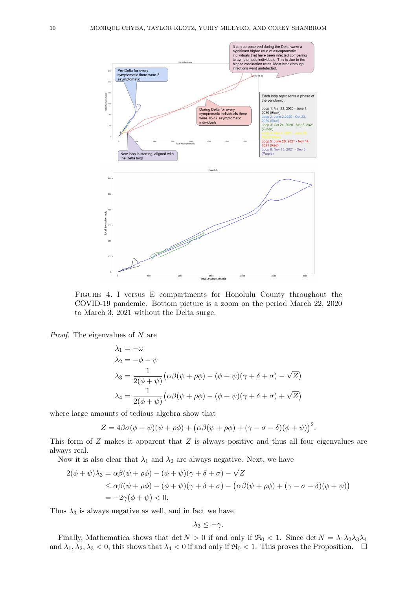<span id="page-9-0"></span>

Figure 4. I versus E compartments for Honolulu County throughout the COVID-19 pandemic. Bottom picture is a zoom on the period March 22, 2020 to March 3, 2021 without the Delta surge.

Proof. The eigenvalues of N are

$$
\lambda_1 = -\omega
$$
  
\n
$$
\lambda_2 = -\phi - \psi
$$
  
\n
$$
\lambda_3 = \frac{1}{2(\phi + \psi)} (\alpha \beta(\psi + \rho \phi) - (\phi + \psi)(\gamma + \delta + \sigma) - \sqrt{Z})
$$
  
\n
$$
\lambda_4 = \frac{1}{2(\phi + \psi)} (\alpha \beta(\psi + \rho \phi) - (\phi + \psi)(\gamma + \delta + \sigma) + \sqrt{Z})
$$

where large amounts of tedious algebra show that

 $Z = 4\beta\sigma(\phi + \psi)(\psi + \rho\phi) + (\alpha\beta(\psi + \rho\phi) + (\gamma - \sigma - \delta)(\phi + \psi))^2$ .

This form of Z makes it apparent that Z is always positive and thus all four eigenvalues are always real.

Now it is also clear that  $\lambda_1$  and  $\lambda_2$  are always negative. Next, we have

$$
2(\phi + \psi)\lambda_3 = \alpha\beta(\psi + \rho\phi) - (\phi + \psi)(\gamma + \delta + \sigma) - \sqrt{Z}
$$
  
\n
$$
\leq \alpha\beta(\psi + \rho\phi) - (\phi + \psi)(\gamma + \delta + \sigma) - (\alpha\beta(\psi + \rho\phi) + (\gamma - \sigma - \delta)(\phi + \psi))
$$
  
\n
$$
= -2\gamma(\phi + \psi) < 0.
$$

Thus  $\lambda_3$  is always negative as well, and in fact we have

$$
\lambda_3\leq -\gamma.
$$

Finally, Mathematica shows that det  $N > 0$  if and only if  $\Re_0 < 1$ . Since det  $N = \lambda_1 \lambda_2 \lambda_3 \lambda_4$ and  $\lambda_1, \lambda_2, \lambda_3 < 0$ , this shows that  $\lambda_4 < 0$  if and only if  $\Re 0 < 1$ . This proves the Proposition.  $\Box$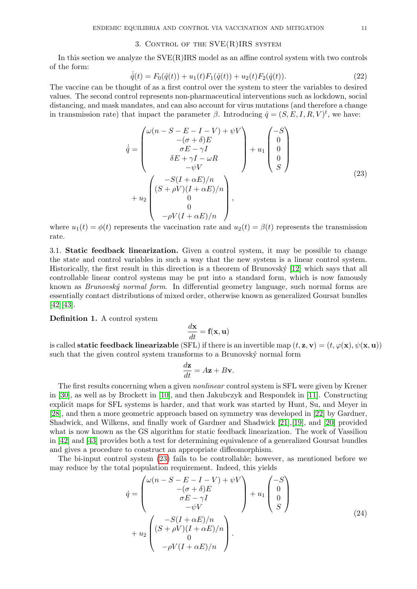# 3. Control of the SVE(R)IRS system

<span id="page-10-0"></span>In this section we analyze the SVE(R)IRS model as an affine control system with two controls of the form:

$$
\dot{\hat{q}}(t) = F_0(\hat{q}(t)) + u_1(t)F_1(\hat{q}(t)) + u_2(t)F_2(\hat{q}(t)).
$$
\n(22)

The vaccine can be thought of as a first control over the system to steer the variables to desired values. The second control represents non-pharmaceutical interventions such as lockdown, social distancing, and mask mandates, and can also account for virus mutations (and therefore a change in transmission rate) that impact the parameter  $\beta$ . Introducing  $\hat{q} = (S, E, I, R, V)^t$ , we have:

<span id="page-10-2"></span>
$$
\dot{\hat{q}} = \begin{pmatrix} \omega(n - S - E - I - V) + \psi V \\ -(\sigma + \delta)E \\ \sigma E - \gamma I \\ \delta E + \gamma I - \omega R \\ -\psi V \\ -\psi V \end{pmatrix} + u_1 \begin{pmatrix} -S \\ 0 \\ 0 \\ 0 \\ S \end{pmatrix}
$$
\n
$$
+ u_2 \begin{pmatrix} -S(I + \alpha E)/n \\ (S + \rho V)(I + \alpha E)/n \\ 0 \\ -\rho V(I + \alpha E)/n \end{pmatrix},
$$
\n(23)

where  $u_1(t) = \phi(t)$  represents the vaccination rate and  $u_2(t) = \beta(t)$  represents the transmission rate.

<span id="page-10-1"></span>3.1. Static feedback linearization. Given a control system, it may be possible to change the state and control variables in such a way that the new system is a linear control system. Historically, the first result in this direction is a theorem of Brunovský  $[12]$  which says that all controllable linear control systems may be put into a standard form, which is now famously known as *Brunovský normal form*. In differential geometry language, such normal forms are essentially contact distributions of mixed order, otherwise known as generalized Goursat bundles [\[42\]](#page-20-10)[\[43\]](#page-20-11).

Definition 1. A control system

$$
\frac{d\mathbf{x}}{dt} = \mathbf{f}(\mathbf{x}, \mathbf{u})
$$

is called **static feedback linearizable** (SFL) if there is an invertible map  $(t, \mathbf{z}, \mathbf{v}) = (t, \varphi(\mathbf{x}), \psi(\mathbf{x}, \mathbf{u}))$ such that the given control system transforms to a Brunovský normal form

$$
\frac{d\mathbf{z}}{dt} = A\mathbf{z} + B\mathbf{v}.
$$

The first results concerning when a given *nonlinear* control system is SFL were given by Krener in [\[30\]](#page-20-12), as well as by Brockett in [\[10\]](#page-19-15), and then Jakubczyk and Respondek in [\[11\]](#page-19-16). Constructing explicit maps for SFL systems is harder, and that work was started by Hunt, Su, and Meyer in [\[28\]](#page-20-13), and then a more geometric approach based on symmetry was developed in [\[22\]](#page-19-17) by Gardner, Shadwick, and Wilkens, and finally work of Gardner and Shadwick [\[21\]](#page-19-18),[\[19\]](#page-19-19), and [\[20\]](#page-19-20) provided what is now known as the GS algorithm for static feedback linearization. The work of Vassiliou in [\[42\]](#page-20-10) and [\[43\]](#page-20-11) provides both a test for determining equivalence of a generalized Goursat bundles and gives a procedure to construct an appropriate diffeomorphism.

The bi-input control system [\(23\)](#page-10-2) fails to be controllable; however, as mentioned before we may reduce by the total population requirement. Indeed, this yields

<span id="page-10-3"></span>
$$
\dot{q} = \begin{pmatrix} \omega(n - S - E - I - V) + \psi V \\ -(\sigma + \delta) E \\ \sigma E - \gamma I \\ -\psi V \\ -\psi V \end{pmatrix} + u_1 \begin{pmatrix} -S \\ 0 \\ 0 \\ S \end{pmatrix}
$$
\n
$$
+ u_2 \begin{pmatrix} -S(I + \alpha E)/n \\ (S + \rho V)(I + \alpha E)/n \\ 0 \\ -\rho V(I + \alpha E)/n \end{pmatrix} .
$$
\n(24)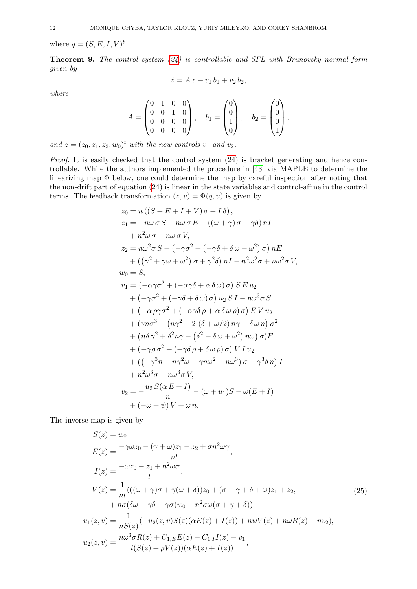where  $q = (S, E, I, V)^t$ .

<span id="page-11-1"></span>**Theorem 9.** The control system  $(24)$  is controllable and SFL with Brunovský normal form given by

$$
\dot{z} = A z + v_1 b_1 + v_2 b_2,
$$

where

$$
A = \begin{pmatrix} 0 & 1 & 0 & 0 \\ 0 & 0 & 1 & 0 \\ 0 & 0 & 0 & 0 \\ 0 & 0 & 0 & 0 \end{pmatrix}, \quad b_1 = \begin{pmatrix} 0 \\ 0 \\ 1 \\ 0 \end{pmatrix}, \quad b_2 = \begin{pmatrix} 0 \\ 0 \\ 0 \\ 1 \end{pmatrix},
$$

and  $z = (z_0, z_1, z_2, w_0)^t$  with the new controls  $v_1$  and  $v_2$ .

Proof. It is easily checked that the control system  $(24)$  is bracket generating and hence controllable. While the authors implemented the procedure in [\[43\]](#page-20-11) via MAPLE to determine the linearizing map Φ below, one could determine the map by careful inspection after noting that the non-drift part of equation [\(24\)](#page-10-3) is linear in the state variables and control-affine in the control terms. The feedback transformation  $(z, v) = \Phi(q, u)$  is given by

$$
z_0 = n((S + E + I + V)\sigma + I\delta),
$$
  
\n
$$
z_1 = -n\omega\sigma S - n\omega\sigma E - ((\omega + \gamma)\sigma + \gamma\delta) nI
$$
  
\n
$$
+ n^2\omega\sigma - n\omega\sigma V,
$$
  
\n
$$
z_2 = n\omega^2\sigma S + (-\gamma\sigma^2 + (-\gamma\delta + \delta\omega + \omega^2)\sigma) nE
$$
  
\n
$$
+ ((\gamma^2 + \gamma\omega + \omega^2)\sigma + \gamma^2\delta) nI - n^2\omega^2\sigma + n\omega^2\sigma V,
$$
  
\n
$$
w_0 = S,
$$
  
\n
$$
v_1 = (-\alpha\gamma\sigma^2 + (-\alpha\gamma\delta + \alpha\delta\omega)\sigma) S E u_2
$$
  
\n
$$
+ (-\gamma\sigma^2 + (-\gamma\delta + \delta\omega)\sigma) u_2 S I - n\omega^3\sigma S
$$
  
\n
$$
+ (-\alpha\rho\gamma\sigma^2 + (-\alpha\gamma\delta\rho + \alpha\delta\omega\rho)\sigma) E V u_2
$$
  
\n
$$
+ (\gamma n\sigma^3 + (n\gamma^2 + 2(\delta + \omega/2)n\gamma - \delta\omega n)\sigma^2
$$
  
\n
$$
+ (n\delta\gamma^2 + \delta^2n\gamma - (\delta^2 + \delta\omega + \omega^2)n\omega)\sigma)E
$$
  
\n
$$
+ (-\gamma\rho\sigma^2 + (-\gamma\delta\rho + \delta\omega\rho)\sigma) V I u_2
$$
  
\n
$$
+ ((-\gamma^3n - n\gamma^2\omega - \gamma n\omega^2 - n\omega^3)\sigma - \gamma^3\delta n) I
$$
  
\n
$$
+ n^2\omega^3\sigma - n\omega^3\sigma V,
$$
  
\n
$$
v_2 = -\frac{u_2 S(\alpha E + I)}{n} - (\omega + u_1)S - \omega(E + I)
$$
  
\n
$$
+ (-\omega + \psi)V + \omega n.
$$

The inverse map is given by

<span id="page-11-0"></span>S(z) = w<sup>0</sup> <sup>E</sup>(z) = <sup>−</sup>γωz<sup>0</sup> <sup>−</sup> (<sup>γ</sup> <sup>+</sup> <sup>ω</sup>)z<sup>1</sup> <sup>−</sup> <sup>z</sup><sup>2</sup> <sup>+</sup> σn2ωγ nl , <sup>I</sup>(z) = <sup>−</sup>ωz<sup>0</sup> <sup>−</sup> <sup>z</sup><sup>1</sup> <sup>+</sup> <sup>n</sup> <sup>2</sup>ωσ l , <sup>V</sup> (z) = <sup>1</sup> nl(((<sup>ω</sup> <sup>+</sup> <sup>γ</sup>)<sup>σ</sup> <sup>+</sup> <sup>γ</sup>(<sup>ω</sup> <sup>+</sup> <sup>δ</sup>))z<sup>0</sup> + (<sup>σ</sup> <sup>+</sup> <sup>γ</sup> <sup>+</sup> <sup>δ</sup> <sup>+</sup> <sup>ω</sup>)z<sup>1</sup> <sup>+</sup> <sup>z</sup>2, + nσ(δω − γδ − γσ)w<sup>0</sup> − n <sup>2</sup>σω(σ + γ + δ)), <sup>u</sup>1(z, v) = <sup>1</sup> nS(z) (−u2(z, v)S(z)(αE(z) + I(z)) + nψV (z) + nωR(z) − nv2), <sup>u</sup>2(z, v) = nω3σR(z) + <sup>C</sup>1,EE(z) + <sup>C</sup>1,I <sup>I</sup>(z) <sup>−</sup> <sup>v</sup><sup>1</sup> <sup>l</sup>(S(z) + ρV (z))(αE(z) + <sup>I</sup>(z)) , (25)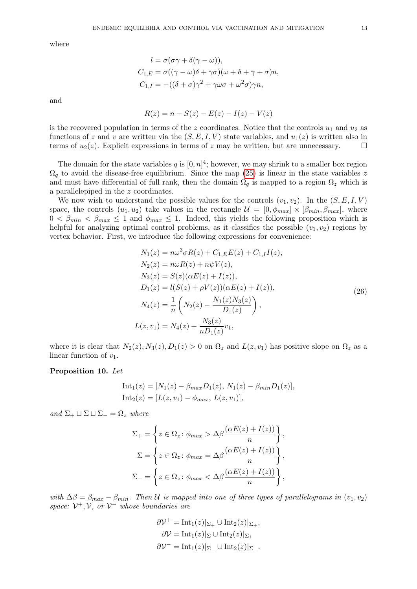where

$$
l = \sigma(\sigma\gamma + \delta(\gamma - \omega)),
$$
  
\n
$$
C_{1,E} = \sigma((\gamma - \omega)\delta + \gamma\sigma)(\omega + \delta + \gamma + \sigma)n,
$$
  
\n
$$
C_{1,I} = -((\delta + \sigma)\gamma^2 + \gamma\omega\sigma + \omega^2\sigma)\gamma n,
$$

and

$$
R(z) = n - S(z) - E(z) - I(z) - V(z)
$$

is the recovered population in terms of the z coordinates. Notice that the controls  $u_1$  and  $u_2$  as functions of z and v are written via the  $(S, E, I, V)$  state variables, and  $u_1(z)$  is written also in terms of  $u_2(z)$ . Explicit expressions in terms of z may be written, but are unnecessary.

The domain for the state variables q is  $[0, n]^4$ ; however, we may shrink to a smaller box region  $\Omega_q$  to avoid the disease-free equilibrium. Since the map [\(25\)](#page-11-0) is linear in the state variables z and must have differential of full rank, then the domain  $\Omega_q$  is mapped to a region  $\Omega_z$  which is a parallelepiped in the z coordinates.

We now wish to understand the possible values for the controls  $(v_1, v_2)$ . In the  $(S, E, I, V)$ space, the controls  $(u_1, u_2)$  take values in the rectangle  $\mathcal{U} = [0, \phi_{max}] \times [\beta_{min}, \beta_{max}]$ , where  $0 < \beta_{min} < \beta_{max} \leq 1$  and  $\phi_{max} \leq 1$ . Indeed, this yields the following proposition which is helpful for analyzing optimal control problems, as it classifies the possible  $(v_1, v_2)$  regions by vertex behavior. First, we introduce the following expressions for convenience:

<span id="page-12-0"></span>
$$
N_1(z) = n\omega^3 \sigma R(z) + C_{1,E}E(z) + C_{1,I}I(z),
$$
  
\n
$$
N_2(z) = n\omega R(z) + n\psi V(z),
$$
  
\n
$$
N_3(z) = S(z)(\alpha E(z) + I(z)),
$$
  
\n
$$
D_1(z) = l(S(z) + \rho V(z))(\alpha E(z) + I(z)),
$$
  
\n
$$
N_4(z) = \frac{1}{n} \left( N_2(z) - \frac{N_1(z)N_3(z)}{D_1(z)} \right),
$$
  
\n
$$
L(z, v_1) = N_4(z) + \frac{N_3(z)}{nD_1(z)} v_1,
$$
  
\n(26)

where it is clear that  $N_2(z)$ ,  $N_3(z)$ ,  $D_1(z) > 0$  on  $\Omega_z$  and  $L(z, v_1)$  has positive slope on  $\Omega_z$  as a linear function of  $v_1$ .

# <span id="page-12-1"></span>Proposition 10. Let

Int<sub>1</sub>(z) = 
$$
[N_1(z) - \beta_{max}D_1(z), N_1(z) - \beta_{min}D_1(z)],
$$
  
Int<sub>2</sub>(z) =  $[L(z, v_1) - \phi_{max}, L(z, v_1)],$ 

and  $\Sigma_+ \sqcup \Sigma_- \sqcup \Sigma_- = \Omega_z$  where

$$
\Sigma_{+} = \left\{ z \in \Omega_{z} : \phi_{max} > \Delta \beta \frac{(\alpha E(z) + I(z))}{n} \right\},
$$
  

$$
\Sigma = \left\{ z \in \Omega_{z} : \phi_{max} = \Delta \beta \frac{(\alpha E(z) + I(z))}{n} \right\},
$$
  

$$
\Sigma_{-} = \left\{ z \in \Omega_{z} : \phi_{max} < \Delta \beta \frac{(\alpha E(z) + I(z))}{n} \right\},
$$

with  $\Delta\beta = \beta_{max} - \beta_{min}$ . Then U is mapped into one of three types of parallelograms in  $(v_1, v_2)$ space:  $V^+$ ,  $V$ , or  $V^-$  whose boundaries are

$$
\partial \mathcal{V}^+ = \text{Int}_1(z)|_{\Sigma_+} \cup \text{Int}_2(z)|_{\Sigma_+},
$$
  

$$
\partial \mathcal{V} = \text{Int}_1(z)|_{\Sigma} \cup \text{Int}_2(z)|_{\Sigma_+},
$$
  

$$
\partial \mathcal{V}^- = \text{Int}_1(z)|_{\Sigma_-} \cup \text{Int}_2(z)|_{\Sigma_-}.
$$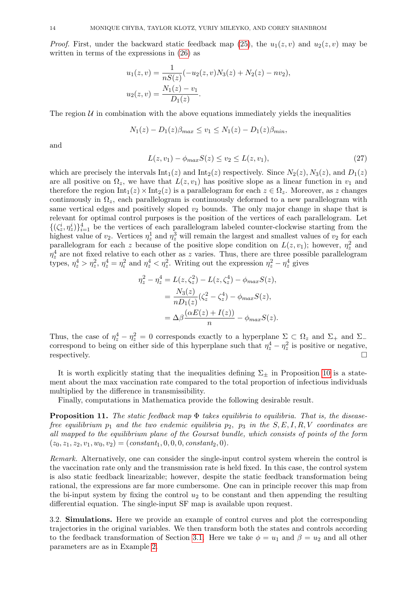*Proof.* First, under the backward static feedback map [\(25\)](#page-11-0), the  $u_1(z, v)$  and  $u_2(z, v)$  may be written in terms of the expressions in [\(26\)](#page-12-0) as

$$
u_1(z, v) = \frac{1}{nS(z)}(-u_2(z, v)N_3(z) + N_2(z) - nv_2),
$$
  

$$
u_2(z, v) = \frac{N_1(z) - v_1}{D_1(z)}.
$$

The region  $U$  in combination with the above equations immediately yields the inequalities

$$
N_1(z) - D_1(z)\beta_{max} \le v_1 \le N_1(z) - D_1(z)\beta_{min},
$$

and

$$
L(z, v_1) - \phi_{max} S(z) \le v_2 \le L(z, v_1),
$$
\n(27)

which are precisely the intervals  $\text{Int}_1(z)$  and  $\text{Int}_2(z)$  respectively. Since  $N_2(z)$ ,  $N_3(z)$ , and  $D_1(z)$ are all positive on  $\Omega_z$ , we have that  $L(z, v_1)$  has positive slope as a linear function in  $v_1$  and therefore the region  $\text{Int}_1(z) \times \text{Int}_2(z)$  is a parallelogram for each  $z \in \Omega_z$ . Moreover, as z changes continuously in  $\Omega_z$ , each parallelogram is continuously deformed to a new parallelogram with same vertical edges and positively sloped  $v_2$  bounds. The only major change in shape that is relevant for optimal control purposes is the position of the vertices of each parallelogram. Let  ${({\zeta}_z^i, \eta_z^i)}_{i=1}^4$  be the vertices of each parallelogram labeled counter-clockwise starting from the highest value of  $v_2$ . Vertices  $\eta_z^1$  and  $\eta_z^3$  will remain the largest and smallest values of  $v_2$  for each parallelogram for each z because of the positive slope condition on  $L(z, v_1)$ ; however,  $\eta_z^2$  and  $\eta_z^4$  are not fixed relative to each other as z varies. Thus, there are three possible parallelogram types,  $\eta_z^4 > \eta_z^2$ ,  $\eta_z^4 = \eta_i^2$  and  $\eta_z^4 < \eta_z^2$ . Writing out the expression  $\eta_z^2 - \eta_z^4$  gives

$$
\eta_z^2 - \eta_z^4 = L(z, \zeta_z^2) - L(z, \zeta_z^4) - \phi_{max} S(z),
$$
  
= 
$$
\frac{N_3(z)}{n D_1(z)} (\zeta_z^2 - \zeta_z^4) - \phi_{max} S(z),
$$
  
= 
$$
\Delta \beta \frac{(\alpha E(z) + I(z))}{n} - \phi_{max} S(z).
$$

Thus, the case of  $\eta_z^4 - \eta_z^2 = 0$  corresponds exactly to a hyperplane  $\Sigma \subset \Omega_z$  and  $\Sigma_+$  and  $\Sigma_$ correspond to being on either side of this hyperplane such that  $\eta_z^4 - \eta_z^2$  is positive or negative, respectively.  $\Box$ 

It is worth explicitly stating that the inequalities defining  $\Sigma_{+}$  in Proposition [10](#page-12-1) is a statement about the max vaccination rate compared to the total proportion of infectious individuals multiplied by the difference in transmissibility.

Finally, computations in Mathematica provide the following desirable result.

**Proposition 11.** The static feedback map  $\Phi$  takes equilibria to equilibria. That is, the diseasefree equilibrium  $p_1$  and the two endemic equilibria  $p_2$ ,  $p_3$  in the  $S, E, I, R, V$  coordinates are all mapped to the equilibrium plane of the Goursat bundle, which consists of points of the form  $(z_0, z_1, z_2, v_1, w_0, v_2) = (constant_1, 0, 0, 0, constant_2, 0).$ 

Remark. Alternatively, one can consider the single-input control system wherein the control is the vaccination rate only and the transmission rate is held fixed. In this case, the control system is also static feedback linearizable; however, despite the static feedback transformation being rational, the expressions are far more cumbersome. One can in principle recover this map from the bi-input system by fixing the control  $u_2$  to be constant and then appending the resulting differential equation. The single-input SF map is available upon request.

<span id="page-13-0"></span>3.2. Simulations. Here we provide an example of control curves and plot the corresponding trajectories in the original variables. We then transform both the states and controls according to the feedback transformation of Section [3.1.](#page-10-1) Here we take  $\phi = u_1$  and  $\beta = u_2$  and all other parameters are as in Example [2.](#page-7-0)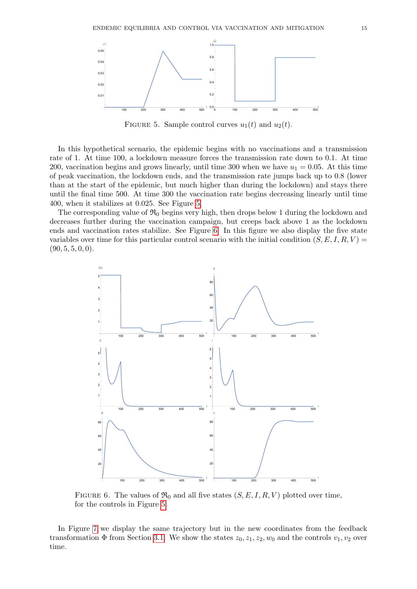<span id="page-14-0"></span>

FIGURE 5. Sample control curves  $u_1(t)$  and  $u_2(t)$ .

In this hypothetical scenario, the epidemic begins with no vaccinations and a transmission rate of 1. At time 100, a lockdown measure forces the transmission rate down to 0.1. At time 200, vaccination begins and grows linearly, until time 300 when we have  $u_1 = 0.05$ . At this time of peak vaccination, the lockdown ends, and the transmission rate jumps back up to 0.8 (lower than at the start of the epidemic, but much higher than during the lockdown) and stays there until the final time 500. At time 300 the vaccination rate begins decreasing linearly until time 400, when it stabilizes at 0.025. See Figure [5.](#page-14-0)

The corresponding value of  $\mathfrak{R}_0$  begins very high, then drops below 1 during the lockdown and decreases further during the vaccination campaign, but creeps back above 1 as the lockdown ends and vaccination rates stabilize. See Figure [6.](#page-14-1) In this figure we also display the five state variables over time for this particular control scenario with the initial condition  $(S, E, I, R, V)$  $(90, 5, 5, 0, 0).$ 

<span id="page-14-1"></span>

FIGURE 6. The values of  $\mathfrak{R}_0$  and all five states  $(S, E, I, R, V)$  plotted over time, for the controls in Figure [5.](#page-14-0)

In Figure [7](#page-15-1) we display the same trajectory but in the new coordinates from the feedback transformation  $\Phi$  from Section [3.1.](#page-10-1) We show the states  $z_0, z_1, z_2, w_0$  and the controls  $v_1, v_2$  over time.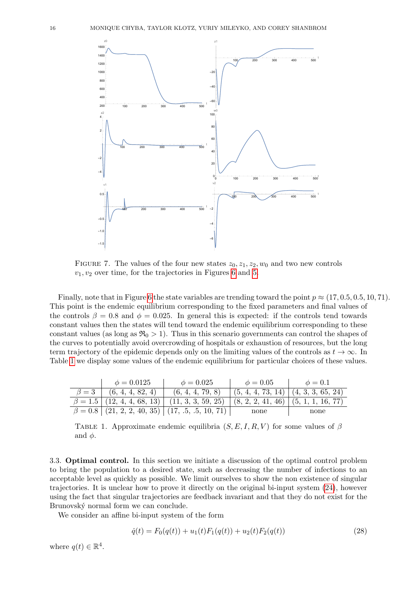<span id="page-15-1"></span>

FIGURE 7. The values of the four new states  $z_0, z_1, z_2, w_0$  and two new controls  $v_1, v_2$  over time, for the trajectories in Figures [6](#page-14-1) and [5.](#page-14-0)

Finally, note that in Figure [6](#page-14-1) the state variables are trending toward the point  $p \approx (17, 0.5, 0.5, 10, 71)$ . This point is the endemic equilibrium corresponding to the fixed parameters and final values of the controls  $\beta = 0.8$  and  $\phi = 0.025$ . In general this is expected: if the controls tend towards constant values then the states will tend toward the endemic equilibrium corresponding to these constant values (as long as  $\mathfrak{R}_0 > 1$ ). Thus in this scenario governments can control the shapes of the curves to potentially avoid overcrowding of hospitals or exhaustion of resources, but the long term trajectory of the epidemic depends only on the limiting values of the controls as  $t \to \infty$ . In Table [1](#page-15-2) we display some values of the endemic equilibrium for particular choices of these values.

<span id="page-15-2"></span>

| $\phi = 0.0125$                | $\phi = 0.025$                                                                                              | $\phi = 0.05$                       | $\phi = 0.1$ |
|--------------------------------|-------------------------------------------------------------------------------------------------------------|-------------------------------------|--------------|
| $\beta = 3$   (6, 4, 4, 82, 4) | (6, 4, 4, 79, 8)                                                                                            | (5, 4, 4, 73, 14) (4, 3, 3, 65, 24) |              |
|                                | $\beta = 1.5 \mid (12, 4, 4, 68, 13) \mid (11, 3, 3, 59, 25) \mid (8, 2, 2, 41, 46) \mid (5, 1, 1, 16, 77)$ |                                     |              |
|                                | $\beta = 0.8$ (21, 2, 2, 40, 35) (17, .5, .5, 10, 71)                                                       | none                                | none         |

TABLE 1. Approximate endemic equilibria  $(S, E, I, R, V)$  for some values of  $\beta$ and  $\phi$ .

<span id="page-15-0"></span>3.3. Optimal control. In this section we initiate a discussion of the optimal control problem to bring the population to a desired state, such as decreasing the number of infections to an acceptable level as quickly as possible. We limit ourselves to show the non existence of singular trajectories. It is unclear how to prove it directly on the original bi-input system [\(24\)](#page-10-3), however using the fact that singular trajectories are feedback invariant and that they do not exist for the Brunovský normal form we can conclude.

We consider an affine bi-input system of the form

<span id="page-15-3"></span>
$$
\dot{q}(t) = F_0(q(t)) + u_1(t)F_1(q(t)) + u_2(t)F_2(q(t))
$$
\n(28)

where  $q(t) \in \mathbb{R}^4$ .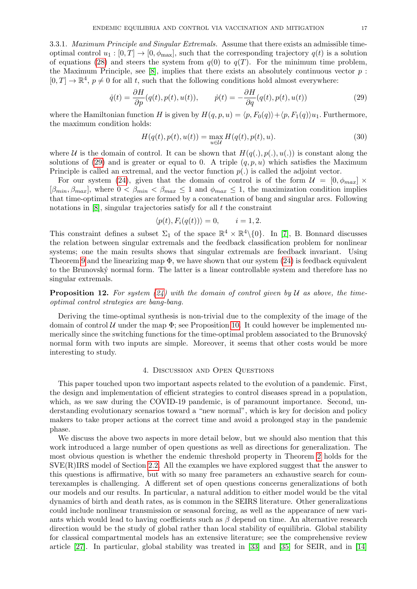3.3.1. *Maximum Principle and Singular Extremals.* Assume that there exists an admissible timeoptimal control  $u_1 : [0, T] \to [0, \phi_{\text{max}}]$ , such that the corresponding trajectory  $q(t)$  is a solution of equations [\(28\)](#page-15-3) and steers the system from  $q(0)$  to  $q(T)$ . For the minimum time problem, the Maximum Principle, see [\[8\]](#page-19-21), implies that there exists an absolutely continuous vector  $p$ :  $[0, T] \to \mathbb{R}^4$ ,  $p \neq 0$  for all t, such that the following conditions hold almost everywhere:

<span id="page-16-1"></span>
$$
\dot{q}(t) = \frac{\partial H}{\partial p}(q(t), p(t), u(t)), \qquad \dot{p}(t) = -\frac{\partial H}{\partial q}(q(t), p(t), u(t))
$$
\n(29)

where the Hamiltonian function H is given by  $H(q, p, u) = \langle p, F_0(q) \rangle + \langle p, F_1(q) \rangle u_1$ . Furthermore, the maximum condition holds:

$$
H(q(t), p(t), u(t)) = \max_{u \in \mathcal{U}} H(q(t), p(t), u).
$$
\n(30)

where U is the domain of control. It can be shown that  $H(q(.), p(.), u(.))$  is constant along the solutions of [\(29\)](#page-16-1) and is greater or equal to 0. A triple  $(q, p, u)$  which satisfies the Maximum Principle is called an extremal, and the vector function  $p(.)$  is called the adjoint vector.

For our system [\(24\)](#page-10-3), given that the domain of control is of the form  $\mathcal{U} = [0, \phi_{max}] \times$  $[\beta_{min}, \beta_{max}]$ , where  $0 < \beta_{min} < \beta_{max} \leq 1$  and  $\phi_{max} \leq 1$ , the maximization condition implies that time-optimal strategies are formed by a concatenation of bang and singular arcs. Following notations in  $[8]$ , singular trajectories satisfy for all t the constraint

$$
\langle p(t), F_i(q(t)) \rangle = 0, \qquad i = 1, 2.
$$

This constraint defines a subset  $\Sigma_1$  of the space  $\mathbb{R}^4 \times \mathbb{R}^4 \setminus \{0\}$ . In [\[7\]](#page-19-22), B. Bonnard discusses the relation between singular extremals and the feedback classification problem for nonlinear systems; one the main results shows that singular extremals are feedback invariant. Using Theorem [9](#page-11-1) and the linearizing map  $\Phi$ , we have shown that our system [\(24\)](#page-10-3) is feedback equivalent to the Brunovský normal form. The latter is a linear controllable system and therefore has no singular extremals.

**Proposition 12.** For system  $(24)$  with the domain of control given by U as above, the timeoptimal control strategies are bang-bang.

Deriving the time-optimal synthesis is non-trivial due to the complexity of the image of the domain of control  $U$  under the map  $\Phi$ ; see Proposition [10.](#page-12-1) It could however be implemented numerically since the switching functions for the time-optimal problem associated to the Brunovský normal form with two inputs are simple. Moreover, it seems that other costs would be more interesting to study.

### 4. Discussion and Open Questions

<span id="page-16-0"></span>This paper touched upon two important aspects related to the evolution of a pandemic. First, the design and implementation of efficient strategies to control diseases spread in a population, which, as we saw during the COVID-19 pandemic, is of paramount importance. Second, understanding evolutionary scenarios toward a "new normal", which is key for decision and policy makers to take proper actions at the correct time and avoid a prolonged stay in the pandemic phase.

We discuss the above two aspects in more detail below, but we should also mention that this work introduced a large number of open questions as well as directions for generalization. The most obvious question is whether the endemic threshold property in Theorem [2](#page-3-0) holds for the  $SVE(R)IRS$  model of Section [2.2.](#page-5-0) All the examples we have explored suggest that the answer to this questions is affirmative, but with so many free parameters an exhaustive search for counterexamples is challenging. A different set of open questions concerns generalizations of both our models and our results. In particular, a natural addition to either model would be the vital dynamics of birth and death rates, as is common in the SEIRS literature. Other generalizations could include nonlinear transmission or seasonal forcing, as well as the appearance of new variants which would lead to having coefficients such as  $\beta$  depend on time. An alternative research direction would be the study of global rather than local stability of equilibria. Global stability for classical compartmental models has an extensive literature; see the comprehensive review article [\[27\]](#page-20-5). In particular, global stability was treated in [\[33\]](#page-20-14) and [\[35\]](#page-20-8) for SEIR, and in [\[14\]](#page-19-23)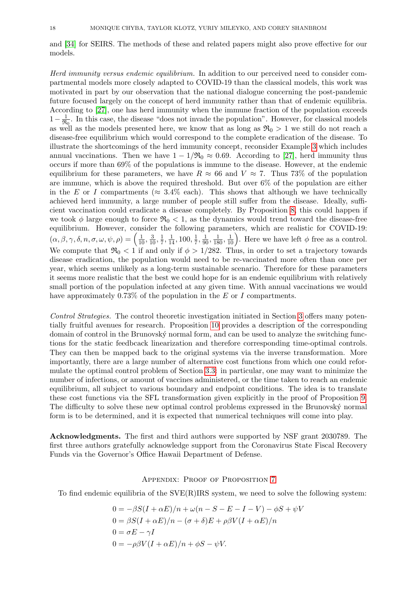and [\[34\]](#page-20-15) for SEIRS. The methods of these and related papers might also prove effective for our models.

Herd immunity versus endemic equilibrium. In addition to our perceived need to consider compartmental models more closely adapted to COVID-19 than the classical models, this work was motivated in part by our observation that the national dialogue concerning the post-pandemic future focused largely on the concept of herd immunity rather than that of endemic equilibria. According to [\[27\]](#page-20-5), one has herd immunity when the immune fraction of the population exceeds  $1-\frac{1}{\mathfrak{R}}$  $\frac{1}{\Re_0}$ . In this case, the disease "does not invade the population". However, for classical models as well as the models presented here, we know that as long as  $\mathfrak{R}_0 > 1$  we still do not reach a disease-free equilibrium which would correspond to the complete eradication of the disease. To illustrate the shortcomings of the herd immunity concept, reconsider Example [3](#page-7-2) which includes annual vaccinations. Then we have  $1 - 1/\Re_0 \approx 0.69$ . According to [\[27\]](#page-20-5), herd immunity thus occurs if more than 69% of the populations is immune to the disease. However, at the endemic equilibrium for these parameters, we have  $R \approx 66$  and  $V \approx 7$ . Thus 73% of the population are immune, which is above the required threshold. But over 6% of the population are either in the E or I compartments ( $\approx 3.4\%$  each). This shows that although we have technically achieved herd immunity, a large number of people still suffer from the disease. Ideally, sufficient vaccination could eradicate a disease completely. By Proposition [8,](#page-8-1) this could happen if we took  $\phi$  large enough to force  $\Re_0 < 1$ , as the dynamics would trend toward the disease-free equilibrium. However, consider the following parameters, which are realistic for COVID-19:  $(\alpha, \beta, \gamma, \delta, n, \sigma, \omega, \psi, \rho) = \left(\frac{1}{10}, \frac{3}{10}, \frac{1}{7}\right)$  $\frac{1}{7}, \frac{1}{14}, 100, \frac{1}{7}$  $\frac{1}{7}, \frac{1}{90}, \frac{1}{180}, \frac{1}{10}$ . Here we have left  $\phi$  free as a control. We compute that  $\Re_0 < 1$  if and only if  $\phi > 1/282$ . Thus, in order to set a trajectory towards disease eradication, the population would need to be re-vaccinated more often than once per year, which seems unlikely as a long-term sustainable scenario. Therefore for these parameters it seems more realistic that the best we could hope for is an endemic equilibrium with relatively small portion of the population infected at any given time. With annual vaccinations we would have approximately 0.73% of the population in the E or I compartments.

Control Strategies. The control theoretic investigation initiated in Section [3](#page-10-0) offers many potentially fruitful avenues for research. Proposition [10](#page-12-1) provides a description of the corresponding domain of control in the Brunovsk´y normal form, and can be used to analyze the switching functions for the static feedbcack linearization and therefore corresponding time-optimal controls. They can then be mapped back to the original systems via the inverse transformation. More importantly, there are a large number of alternative cost functions from which one could reformulate the optimal control problem of Section [3.3:](#page-15-0) in particular, one may want to minimize the number of infections, or amount of vaccines administered, or the time taken to reach an endemic equilibrium, all subject to various boundary and endpoint conditions. The idea is to translate these cost functions via the SFL transformation given explicitly in the proof of Proposition [9.](#page-11-1) The difficulty to solve these new optimal control problems expressed in the Brunovský normal form is to be determined, and it is expected that numerical techniques will come into play.

Acknowledgments. The first and third authors were supported by NSF grant 2030789. The first three authors gratefully acknowledge support from the Coronavirus State Fiscal Recovery Funds via the Governor's Office Hawaii Department of Defense.

### <span id="page-17-0"></span>Appendix: Proof of Proposition [7](#page-7-3)

To find endemic equilibria of the SVE(R)IRS system, we need to solve the following system:

$$
0 = -\beta S(I + \alpha E)/n + \omega(n - S - E - I - V) - \phi S + \psi V
$$
  
\n
$$
0 = \beta S(I + \alpha E)/n - (\sigma + \delta)E + \rho \beta V(I + \alpha E)/n
$$
  
\n
$$
0 = \sigma E - \gamma I
$$
  
\n
$$
0 = -\rho \beta V(I + \alpha E)/n + \phi S - \psi V.
$$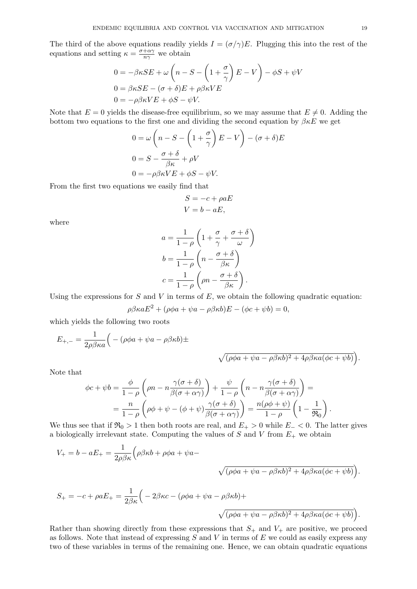The third of the above equations readily yields  $I = (\sigma/\gamma)E$ . Plugging this into the rest of the equations and setting  $\kappa = \frac{\sigma + \alpha \gamma}{n \gamma}$  $rac{\alpha\gamma}{n\gamma}$  we obtain

$$
0 = -\beta \kappa SE + \omega \left( n - S - \left( 1 + \frac{\sigma}{\gamma} \right) E - V \right) - \phi S + \psi V
$$
  
\n
$$
0 = \beta \kappa SE - (\sigma + \delta)E + \rho \beta \kappa VE
$$
  
\n
$$
0 = -\rho \beta \kappa VE + \phi S - \psi V.
$$

Note that  $E = 0$  yields the disease-free equilibrium, so we may assume that  $E \neq 0$ . Adding the bottom two equations to the first one and dividing the second equation by  $\beta \kappa E$  we get

$$
0 = \omega \left( n - S - \left( 1 + \frac{\sigma}{\gamma} \right) E - V \right) - (\sigma + \delta) E
$$
  

$$
0 = S - \frac{\sigma + \delta}{\beta \kappa} + \rho V
$$
  

$$
0 = -\rho \beta \kappa V E + \phi S - \psi V.
$$

From the first two equations we easily find that

$$
S = -c + \rho aE
$$

$$
V = b - aE,
$$

where

$$
a = \frac{1}{1-\rho} \left( 1 + \frac{\sigma}{\gamma} + \frac{\sigma + \delta}{\omega} \right)
$$

$$
b = \frac{1}{1-\rho} \left( n - \frac{\sigma + \delta}{\beta \kappa} \right)
$$

$$
c = \frac{1}{1-\rho} \left( \rho n - \frac{\sigma + \delta}{\beta \kappa} \right).
$$

Using the expressions for  $S$  and  $V$  in terms of  $E$ , we obtain the following quadratic equation:

$$
\rho \beta \kappa a E^2 + (\rho \phi a + \psi a - \rho \beta \kappa b) E - (\phi c + \psi b) = 0,
$$

which yields the following two roots

$$
E_{+,-} = \frac{1}{2\rho\beta\kappa a} \Big( - (\rho\phi a + \psi a - \rho\beta\kappa b) \pm
$$
  

$$
\sqrt{(\rho\phi a + \psi a - \rho\beta\kappa b)^2 + 4\rho\beta\kappa a(\phi c + \psi b)} \Big).
$$

Note that

$$
\phi c + \psi b = \frac{\phi}{1 - \rho} \left( \rho n - n \frac{\gamma(\sigma + \delta)}{\beta(\sigma + \alpha \gamma)} \right) + \frac{\psi}{1 - \rho} \left( n - n \frac{\gamma(\sigma + \delta)}{\beta(\sigma + \alpha \gamma)} \right) =
$$
  
= 
$$
\frac{n}{1 - \rho} \left( \rho \phi + \psi - (\phi + \psi) \frac{\gamma(\sigma + \delta)}{\beta(\sigma + \alpha \gamma)} \right) = \frac{n(\rho \phi + \psi)}{1 - \rho} \left( 1 - \frac{1}{\Re_0} \right).
$$

We thus see that if  $\Re_0 > 1$  then both roots are real, and  $E_+ > 0$  while  $E_- < 0$ . The latter gives a biologically irrelevant state. Computing the values of S and V from  $E_{+}$  we obtain

$$
V_{+} = b - aE_{+} = \frac{1}{2\rho\beta\kappa} \Big( \rho\beta\kappa b + \rho\phi a + \psi a - \sqrt{(\rho\phi a + \psi a - \rho\beta\kappa b)^{2} + 4\rho\beta\kappa a(\phi c + \psi b)} \Big).
$$
  

$$
S_{+} = -c + \rho aE_{+} = \frac{1}{2\beta\kappa} \Big( -2\beta\kappa c - (\rho\phi a + \psi a - \rho\beta\kappa b) + \sqrt{(\rho\phi a + \psi a - \rho\beta\kappa b)^{2} + 4\rho\beta\kappa a(\phi c + \psi b)} \Big).
$$

Rather than showing directly from these expressions that  $S_+$  and  $V_+$  are positive, we proceed as follows. Note that instead of expressing  $S$  and  $V$  in terms of  $E$  we could as easily express any two of these variables in terms of the remaining one. Hence, we can obtain quadratic equations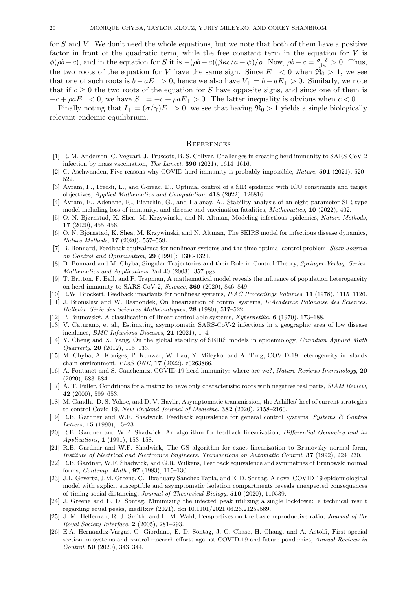for  $S$  and  $V$ . We don't need the whole equations, but we note that both of them have a positive factor in front of the quadratic term, while the free constant term in the equation for  $V$  is  $\phi(\rho b - c)$ , and in the equation for S it is  $-(\rho b - c)(\beta \kappa c/a + \psi)/\rho$ . Now,  $\rho b - c = \frac{\sigma + \delta}{\beta \kappa} > 0$ . Thus, the two roots of the equation for V have the same sign. Since  $E_-\n< 0$  when  $\mathfrak{R}_0 > 1$ , we see that one of such roots is  $b - aE_{-} > 0$ , hence we also have  $V_{+} = b - aE_{+} > 0$ . Similarly, we note that if  $c \geq 0$  the two roots of the equation for S have opposite signs, and since one of them is  $-c + \rho a E_- < 0$ , we have  $S_+ = -c + \rho a E_+ > 0$ . The latter inequality is obvious when  $c < 0$ .

Finally noting that  $I_+ = (\sigma/\gamma)E_+ > 0$ , we see that having  $\Re_0 > 1$  yields a single biologically relevant endemic equilibrium.

### **REFERENCES**

- <span id="page-19-5"></span>[1] R. M. Anderson, C. Vegvari, J. Truscott, B. S. Collyer, Challenges in creating herd immunity to SARS-CoV-2 infection by mass vaccination, The Lancet, 396 (2021), 1614–1616.
- <span id="page-19-6"></span>[2] C. Aschwanden, Five reasons why COVID herd immunity is probably impossible, Nature, 591 (2021), 520– 522.
- [3] Avram, F., Freddi, L., and Goreac, D., Optimal control of a SIR epidemic with ICU constraints and target objectives, Applied Mathematics and Computation, 418 (2022), 126816.
- <span id="page-19-9"></span>[4] Avram, F., Adenane, R., Bianchin, G., and Halanay, A., Stability analysis of an eight parameter SIR-type model including loss of immunity, and disease and vaccination fatalities, Mathematics, 10 (2022), 402.
- <span id="page-19-0"></span>[5] O. N. Bjørnstad, K. Shea, M. Krzywinski, and N. Altman, Modeling infectious epidemics, Nature Methods, 17 (2020), 455–456.
- <span id="page-19-1"></span>[6] O. N. Bjørnstad, K. Shea, M. Krzywinski, and N. Altman, The SEIRS model for infectious disease dynamics, Nature Methods, 17 (2020), 557–559.
- <span id="page-19-22"></span>[7] B. Bonnard, Feedback equivalence for nonlinear systems and the time optimal control problem, Siam Journal on Control and Optimization, 29 (1991): 1300-1321.
- <span id="page-19-21"></span>[8] B. Bonnard and M. Chyba, Singular Trajectories and their Role in Control Theory, Springer-Verlag, Series: Mathematics and Applications, Vol 40 (2003), 357 pgs.
- <span id="page-19-7"></span>[9] T. Britton, F. Ball, and P. Trapman, A mathematical model reveals the influence of population heterogeneity on herd immunity to SARS-CoV-2, Science, 369 (2020), 846–849.
- <span id="page-19-15"></span>[10] R.W. Brockett, Feedback invariants for nonlinear systems, IFAC Proceedings Volumes, 11 (1978), 1115–1120.
- <span id="page-19-16"></span>[11] J. Bronisław and W. Respondek, On linearization of control systems, L'Académie Polonaise des Sciences. Bulletin. Série des Sciences Mathématiques, 28 (1980), 517-522.
- <span id="page-19-14"></span>[12] P. Brunovsk´y, A classification of linear controllable systems, Kybernetika, 6 (1970), 173–188.
- <span id="page-19-2"></span>[13] V. Caturano, et al., Estimating asymptomatic SARS-CoV-2 infections in a geographic area of low disease incidence, *BMC Infectious Diseases*, **21** (2021), 1-4.
- <span id="page-19-23"></span>[14] Y. Cheng and X. Yang, On the global stability of SEIRS models in epidemiology, Canadian Applied Math  $Quarterly, 20 (2012), 115-133.$
- <span id="page-19-10"></span>[15] M. Chyba, A. Koniges, P. Kunwar, W. Lau, Y. Mileyko, and A. Tong, COVID-19 heterogeneity in islands chain environment, PLoS ONE, 17 (2022), e0263866.
- <span id="page-19-8"></span>[16] A. Fontanet and S. Cauchemez, COVID-19 herd immunity: where are we?, Nature Reviews Immunology, 20 (2020), 583–584.
- <span id="page-19-13"></span>[17] A. T. Fuller, Conditions for a matrix to have only characteristic roots with negative real parts, SIAM Review, 42 (2000), 599–653.
- <span id="page-19-3"></span>[18] M. Gandhi, D. S. Yokoe, and D. V. Havlir, Asymptomatic transmission, the Achilles' heel of current strategies to control Covid-19, New England Journal of Medicine, 382 (2020), 2158–2160.
- <span id="page-19-19"></span>[19] R.B. Gardner and W.F. Shadwick, Feedback equivalence for general control systems, Systems & Control Letters, 15 (1990), 15–23.
- <span id="page-19-20"></span>[20] R.B. Gardner and W.F. Shadwick, An algorithm for feedback linearization, Differential Geometry and its Applications, 1 (1991), 153–158.
- <span id="page-19-18"></span>[21] R.B. Gardner and W.F. Shadwick, The GS algorithm for exact linearization to Brunovsky normal form, Institute of Electrical and Electronics Engineers. Transactions on Automatic Control, 37 (1992), 224–230.
- <span id="page-19-17"></span>[22] R.B. Gardner, W.F. Shadwick, and G.R. Wilkens, Feedback equivalence and symmetries of Brunowski normal forms, Contemp. Math., 97 (1983), 115–130.
- <span id="page-19-4"></span>[23] J.L. Gevertz, J.M. Greene, C. Hixahuary Sanchez Tapia, and E. D. Sontag, A novel COVID-19 epidemiological model with explicit susceptible and asymptomatic isolation compartments reveals unexpected consequences of timing social distancing, Journal of Theoretical Biology, 510 (2020), 110539.
- <span id="page-19-11"></span>[24] J. Greene and E. D. Sontag, Minimizing the infected peak utilizing a single lockdown: a technical result regarding equal peaks, medRxiv (2021), doi:10.1101/2021.06.26.21259589.
- <span id="page-19-12"></span>[25] J. M. Heffernan, R. J. Smith, and L. M. Wahl, Perspectives on the basic reproductive ratio, *Journal of the* Royal Society Interface, 2 (2005), 281–293.
- [26] E.A. Hernandez-Vargas, G. Giordano, E. D. Sontag, J. G. Chase, H. Chang, and A. Astolfi, First special section on systems and control research efforts against COVID-19 and future pandemics, Annual Reviews in Control, 50 (2020), 343–344.